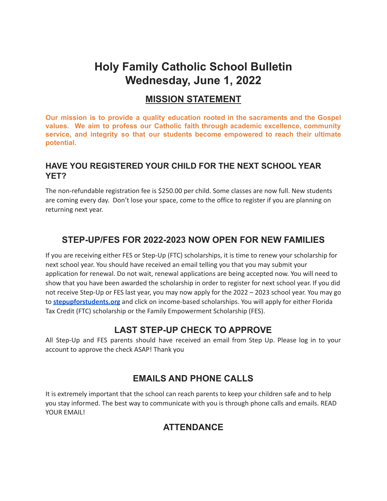# **Holy Family Catholic School Bulletin Wednesday, June 1, 2022**

#### **MISSION STATEMENT**

**Our mission is to provide a quality education rooted in the sacraments and the Gospel values. We aim to profess our Catholic faith through academic excellence, community service, and integrity so that our students become empowered to reach their ultimate potential.**

#### **HAVE YOU REGISTERED YOUR CHILD FOR THE NEXT SCHOOL YEAR YET?**

The non-refundable registration fee is \$250.00 per child. Some classes are now full. New students are coming every day. Don't lose your space, come to the office to register if you are planning on returning next year.

#### **STEP-UP/FES FOR 2022-2023 NOW OPEN FOR NEW FAMILIES**

If you are receiving either FES or Step-Up (FTC) scholarships, it is time to renew your scholarship for next school year. You should have received an email telling you that you may submit your application for renewal. Do not wait, renewal applications are being accepted now. You will need to show that you have been awarded the scholarship in order to register for next school year. If you did not receive Step-Up or FES last year, you may now apply for the 2022 – 2023 school year. You may go to **[stepupforstudents.org](http://stepupforstudents.org/)** and click on income-based scholarships. You will apply for either Florida Tax Credit (FTC) scholarship or the Family Empowerment Scholarship (FES).

#### **LAST STEP-UP CHECK TO APPROVE**

All Step-Up and FES parents should have received an email from Step Up. Please log in to your account to approve the check ASAP! Thank you

#### **EMAILS AND PHONE CALLS**

It is extremely important that the school can reach parents to keep your children safe and to help you stay informed. The best way to communicate with you is through phone calls and emails. READ YOUR FMAILL

## **ATTENDANCE**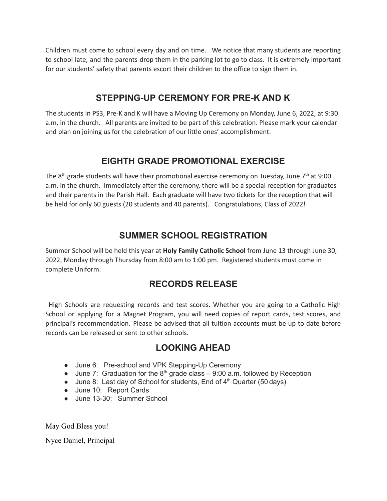Children must come to school every day and on time. We notice that many students are reporting to school late, and the parents drop them in the parking lot to go to class. It is extremely important for our students' safety that parents escort their children to the office to sign them in.

#### **STEPPING-UP CEREMONY FOR PRE-K AND K**

The students in PS3, Pre-K and K will have a Moving Up Ceremony on Monday, June 6, 2022, at 9:30 a.m. in the church. All parents are invited to be part of this celebration. Please mark your calendar and plan on joining us for the celebration of our little ones' accomplishment.

#### **EIGHTH GRADE PROMOTIONAL EXERCISE**

The 8<sup>th</sup> grade students will have their promotional exercise ceremony on Tuesday, June 7<sup>th</sup> at 9:00 a.m. in the church. Immediately after the ceremony, there will be a special reception for graduates and their parents in the Parish Hall. Each graduate will have two tickets for the reception that will be held for only 60 guests (20 students and 40 parents). Congratulations, Class of 2022!

#### **SUMMER SCHOOL REGISTRATION**

Summer School will be held this year at **Holy Family Catholic School** from June 13 through June 30, 2022, Monday through Thursday from 8:00 am to 1:00 pm. Registered students must come in complete Uniform.

## **RECORDS RELEASE**

High Schools are requesting records and test scores. Whether you are going to a Catholic High School or applying for a Magnet Program, you will need copies of report cards, test scores, and principal's recommendation. Please be advised that all tuition accounts must be up to date before records can be released or sent to other schools.

#### **LOOKING AHEAD**

- June 6: Pre-school and VPK Stepping-Up Ceremony
- June 7: Graduation for the  $8<sup>th</sup>$  grade class 9:00 a.m. followed by Reception
- June 8: Last day of School for students, End of 4<sup>th</sup> Quarter (50 days)
- June 10: Report Cards
- June 13-30: Summer School

May God Bless you!

Nyce Daniel, Principal